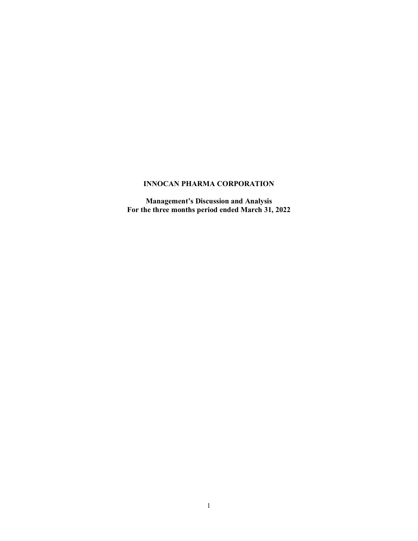# **INNOCAN PHARMA CORPORATION**

**Management's Discussion and Analysis For the three months period ended March 31, 2022**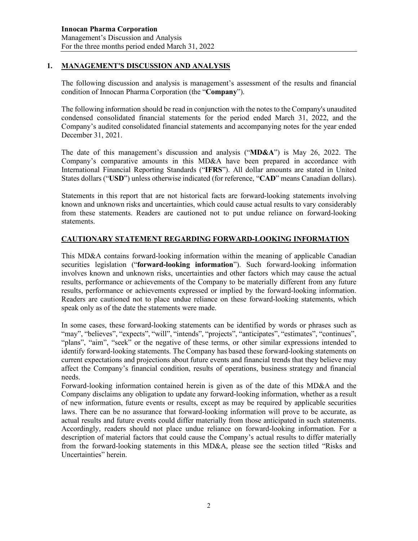### **1. MANAGEMENT'S DISCUSSION AND ANALYSIS**

The following discussion and analysis is management's assessment of the results and financial condition of Innocan Pharma Corporation (the "**Company**").

The following information should be read in conjunction with the notes to the Company's unaudited condensed consolidated financial statements for the period ended March 31, 2022, and the Company's audited consolidated financial statements and accompanying notes for the year ended December 31, 2021.

The date of this management's discussion and analysis ("**MD&A**") is May 26, 2022. The Company's comparative amounts in this MD&A have been prepared in accordance with International Financial Reporting Standards ("**IFRS**"). All dollar amounts are stated in United States dollars ("**USD**") unless otherwise indicated (for reference, "**CAD**" means Canadian dollars).

Statements in this report that are not historical facts are forward-looking statements involving known and unknown risks and uncertainties, which could cause actual results to vary considerably from these statements. Readers are cautioned not to put undue reliance on forward-looking statements.

# **CAUTIONARY STATEMENT REGARDING FORWARD-LOOKING INFORMATION**

This MD&A contains forward-looking information within the meaning of applicable Canadian securities legislation ("**forward-looking information**"). Such forward-looking information involves known and unknown risks, uncertainties and other factors which may cause the actual results, performance or achievements of the Company to be materially different from any future results, performance or achievements expressed or implied by the forward-looking information. Readers are cautioned not to place undue reliance on these forward-looking statements, which speak only as of the date the statements were made.

In some cases, these forward-looking statements can be identified by words or phrases such as "may", "believes", "expects", "will", "intends", "projects", "anticipates", "estimates", "continues", "plans", "aim", "seek" or the negative of these terms, or other similar expressions intended to identify forward-looking statements. The Company has based these forward-looking statements on current expectations and projections about future events and financial trends that they believe may affect the Company's financial condition, results of operations, business strategy and financial needs.

Forward-looking information contained herein is given as of the date of this MD&A and the Company disclaims any obligation to update any forward-looking information, whether as a result of new information, future events or results, except as may be required by applicable securities laws. There can be no assurance that forward-looking information will prove to be accurate, as actual results and future events could differ materially from those anticipated in such statements. Accordingly, readers should not place undue reliance on forward-looking information. For a description of material factors that could cause the Company's actual results to differ materially from the forward-looking statements in this MD&A, please see the section titled "Risks and Uncertainties" herein.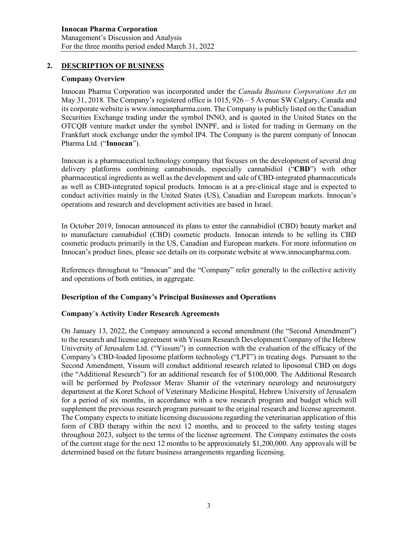## **2. DESCRIPTION OF BUSINESS**

#### **Company Overview**

Innocan Pharma Corporation was incorporated under the *Canada Business Corporations Act* on May 31, 2018. The Company's registered office is  $1015$ ,  $926 - 5$  Avenue SW Calgary, Canada and its corporate website is [www.innocanpharma.com.](http://www.innocanpharma.com/) The Company is publicly listed on the Canadian Securities Exchange trading under the symbol INNO, and is quoted in the United States on the OTCQB venture market under the symbol INNPF, and is listed for trading in Germany on the Frankfurt stock exchange under the symbol IP4. The Company is the parent company of Innocan Pharma Ltd. ("**Innocan**").

Innocan is a pharmaceutical technology company that focuses on the development of several drug delivery platforms combining cannabinoids, especially cannabidiol ("**CBD**") with other pharmaceutical ingredients as well as the development and sale of CBD-integrated pharmaceuticals as well as CBD-integrated topical products. Innocan is at a pre-clinical stage and is expected to conduct activities mainly in the United States (US), Canadian and European markets. Innocan's operations and research and development activities are based in Israel.

In October 2019, Innocan announced its plans to enter the cannabidiol (CBD) beauty market and to manufacture cannabidiol (CBD) cosmetic products. Innocan intends to be selling its CBD cosmetic products primarily in the US, Canadian and European markets. For more information on Innocan's product lines, please see details on its corporate website at [www.innocanpharma.com.](http://www.innocanpharma.com/)

References throughout to "Innocan" and the "Company" refer generally to the collective activity and operations of both entities, in aggregate.

#### **Description of the Company's Principal Businesses and Operations**

#### **Company**'**s Activity Under Research Agreements**

On January 13, 2022, the Company announced a second amendment (the "Second Amendment") to the research and license agreement with Yissum Research Development Company of the Hebrew University of Jerusalem Ltd. ("Yissum") in connection with the evaluation of the efficacy of the Company's CBD-loaded liposome platform technology ("LPT") in treating dogs. Pursuant to the Second Amendment, Yissum will conduct additional research related to liposomal CBD on dogs (the "Additional Research") for an additional research fee of \$100,000. The Additional Research will be performed by Professor Merav Shamir of the veterinary neurology and neurosurgery department at the Koret School of Veterinary Medicine Hospital, Hebrew University of Jerusalem for a period of six months, in accordance with a new research program and budget which will supplement the previous research program pursuant to the original research and license agreement. The Company expects to initiate licensing discussions regarding the veterinarian application of this form of CBD therapy within the next 12 months, and to proceed to the safety testing stages throughout 2023, subject to the terms of the license agreement. The Company estimates the costs of the current stage for the next 12 months to be approximately \$1,200,000. Any approvals will be determined based on the future business arrangements regarding licensing.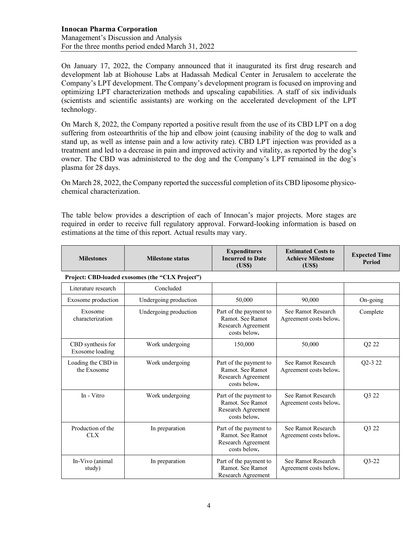On January 17, 2022, the Company announced that it inaugurated its first drug research and development lab at Biohouse Labs at Hadassah Medical Center in Jerusalem to accelerate the Company's LPT development. The Company's development program is focused on improving and optimizing LPT characterization methods and upscaling capabilities. A staff of six individuals (scientists and scientific assistants) are working on the accelerated development of the LPT technology.

On March 8, 2022, the Company reported a positive result from the use of its CBD LPT on a dog suffering from osteoarthritis of the hip and elbow joint (causing inability of the dog to walk and stand up, as well as intense pain and a low activity rate). CBD LPT injection was provided as a treatment and led to a decrease in pain and improved activity and vitality, as reported by the dog's owner. The CBD was administered to the dog and the Company's LPT remained in the dog's plasma for 28 days.

On March 28, 2022, the Company reported the successful completion of its CBD liposome physicochemical characterization.

The table below provides a description of each of Innocan's major projects. More stages are required in order to receive full regulatory approval. Forward-looking information is based on estimations at the time of this report. Actual results may vary.

| <b>Milestones</b>                    | <b>Milestone status</b>                          | <b>Expenditures</b><br><b>Incurred to Date</b><br>(USS)                          | <b>Estimated Costs to</b><br><b>Achieve Milestone</b><br>(US\$) | <b>Expected Time</b><br><b>Period</b> |
|--------------------------------------|--------------------------------------------------|----------------------------------------------------------------------------------|-----------------------------------------------------------------|---------------------------------------|
|                                      | Project: CBD-loaded exosomes (the "CLX Project") |                                                                                  |                                                                 |                                       |
| Literature research                  | Concluded                                        |                                                                                  |                                                                 |                                       |
| Exosome production                   | Undergoing production                            | 50,000                                                                           | 90,000                                                          | On-going                              |
| Exosome<br>characterization          | Undergoing production                            | Part of the payment to<br>Ramot. See Ramot<br>Research Agreement<br>costs below. | See Ramot Research<br>Agreement costs below.                    | Complete                              |
| CBD synthesis for<br>Exosome loading | Work undergoing                                  | 150,000                                                                          | 50,000                                                          | Q <sub>2</sub> 2 <sub>2</sub>         |
| Loading the CBD in<br>the Exosome    | Work undergoing                                  | Part of the payment to<br>Ramot, See Ramot<br>Research Agreement<br>costs below. | See Ramot Research<br>Agreement costs below.                    | O <sub>2</sub> -3 2 <sub>2</sub>      |
| In - Vitro                           | Work undergoing                                  | Part of the payment to<br>Ramot. See Ramot<br>Research Agreement<br>costs below. | See Ramot Research<br>Agreement costs below.                    | Q3 22                                 |
| Production of the<br><b>CLX</b>      | In preparation                                   | Part of the payment to<br>Ramot. See Ramot<br>Research Agreement<br>costs below. | See Ramot Research<br>Agreement costs below.                    | O <sub>3</sub> 2 <sub>2</sub>         |
| In-Vivo (animal<br>study)            | In preparation                                   | Part of the payment to<br>Ramot. See Ramot<br>Research Agreement                 | See Ramot Research<br>Agreement costs below.                    | $Q3-22$                               |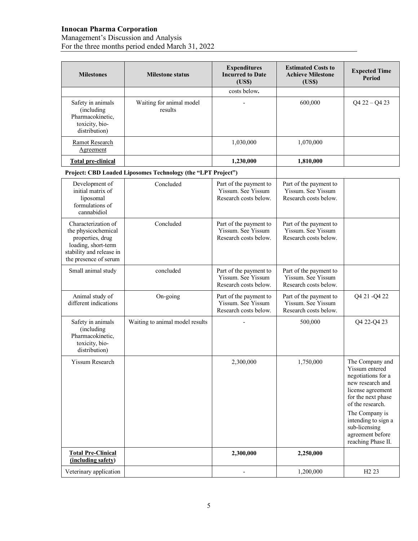### **Innocan Pharma Corporation**

#### Management's Discussion and Analysis For the three months period ended March 31, 2022

| <b>Milestones</b>                                                                                                                          | <b>Milestone status</b>                                      | <b>Expenditures</b><br><b>Incurred to Date</b><br>( <b>USS</b> )      | <b>Estimated Costs to</b><br><b>Achieve Milestone</b><br>(US\$)       | <b>Expected Time</b><br>Period                                                                                                                                                                                                                 |
|--------------------------------------------------------------------------------------------------------------------------------------------|--------------------------------------------------------------|-----------------------------------------------------------------------|-----------------------------------------------------------------------|------------------------------------------------------------------------------------------------------------------------------------------------------------------------------------------------------------------------------------------------|
|                                                                                                                                            |                                                              | costs below.                                                          |                                                                       |                                                                                                                                                                                                                                                |
| Safety in animals<br>(including<br>Pharmacokinetic,<br>toxicity, bio-<br>distribution)                                                     | Waiting for animal model<br>results                          |                                                                       | 600,000                                                               | $Q4 22 - Q4 23$                                                                                                                                                                                                                                |
| Ramot Research<br>Agreement                                                                                                                |                                                              | 1,030,000                                                             | 1,070,000                                                             |                                                                                                                                                                                                                                                |
| <b>Total pre-clinical</b>                                                                                                                  |                                                              | 1,230,000                                                             | 1,810,000                                                             |                                                                                                                                                                                                                                                |
|                                                                                                                                            | Project: CBD Loaded Liposomes Technology (the "LPT Project") |                                                                       |                                                                       |                                                                                                                                                                                                                                                |
| Development of<br>initial matrix of<br>liposomal<br>formulations of<br>cannabidiol                                                         | Concluded                                                    | Part of the payment to<br>Yissum. See Yissum<br>Research costs below. | Part of the payment to<br>Yissum. See Yissum<br>Research costs below. |                                                                                                                                                                                                                                                |
| Characterization of<br>the physicochemical<br>properties, drug<br>loading, short-term<br>stability and release in<br>the presence of serum | Concluded                                                    | Part of the payment to<br>Yissum, See Yissum<br>Research costs below. | Part of the payment to<br>Yissum. See Yissum<br>Research costs below. |                                                                                                                                                                                                                                                |
| Small animal study                                                                                                                         | concluded                                                    | Part of the payment to<br>Yissum. See Yissum<br>Research costs below. | Part of the payment to<br>Yissum. See Yissum<br>Research costs below. |                                                                                                                                                                                                                                                |
| Animal study of<br>different indications                                                                                                   | On-going                                                     | Part of the payment to<br>Yissum. See Yissum<br>Research costs below. | Part of the payment to<br>Yissum. See Yissum<br>Research costs below. | Q4 21 - Q4 22                                                                                                                                                                                                                                  |
| Safety in animals<br>(including)<br>Pharmacokinetic,<br>toxicity, bio-<br>distribution)                                                    | Waiting to animal model results                              |                                                                       | 500,000                                                               | Q4 22-Q4 23                                                                                                                                                                                                                                    |
| Yissum Research                                                                                                                            |                                                              | 2,300,000                                                             | 1,750,000                                                             | The Company and<br>Yissum entered<br>negotiations for a<br>new research and<br>license agreement<br>for the next phase<br>of the research.<br>The Company is<br>intending to sign a<br>sub-licensing<br>agreement before<br>reaching Phase II. |
| <b>Total Pre-Clinical</b><br>(including safety)                                                                                            |                                                              | 2,300,000                                                             | 2,250,000                                                             |                                                                                                                                                                                                                                                |
| Veterinary application                                                                                                                     |                                                              |                                                                       | 1,200,000                                                             | H <sub>2</sub> 23                                                                                                                                                                                                                              |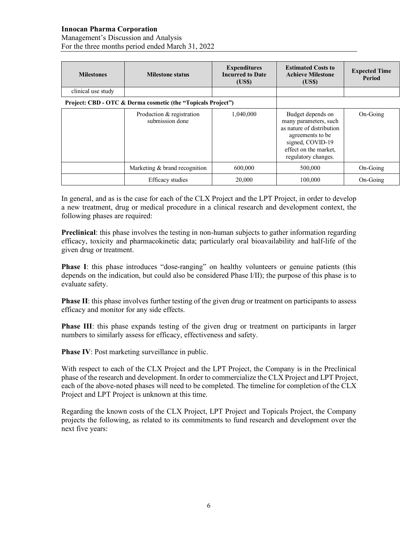### **Innocan Pharma Corporation**

Management's Discussion and Analysis For the three months period ended March 31, 2022

| <b>Milestones</b>  | <b>Milestone status</b>                                      | <b>Expenditures</b><br><b>Incurred to Date</b><br>(US\$) | <b>Estimated Costs to</b><br><b>Achieve Milestone</b><br>(US\$)                                                                                                 | <b>Expected Time</b><br><b>Period</b> |
|--------------------|--------------------------------------------------------------|----------------------------------------------------------|-----------------------------------------------------------------------------------------------------------------------------------------------------------------|---------------------------------------|
| clinical use study |                                                              |                                                          |                                                                                                                                                                 |                                       |
|                    | Project: CBD - OTC & Derma cosmetic (the "Topicals Project") |                                                          |                                                                                                                                                                 |                                       |
|                    | Production & registration<br>submission done                 | 1,040,000                                                | Budget depends on<br>many parameters, such<br>as nature of distribution<br>agreements to be<br>signed, COVID-19<br>effect on the market.<br>regulatory changes. | On-Going                              |
|                    | Marketing & brand recognition                                | 600,000                                                  | 500,000                                                                                                                                                         | On-Going                              |
|                    | Efficacy studies                                             | 20,000                                                   | 100,000                                                                                                                                                         | On-Going                              |

In general, and as is the case for each of the CLX Project and the LPT Project, in order to develop a new treatment, drug or medical procedure in a clinical research and development context, the following phases are required:

**Preclinical**: this phase involves the testing in non-human subjects to gather information regarding efficacy, toxicity and pharmacokinetic data; particularly oral bioavailability and half-life of the given drug or treatment.

**Phase I**: this phase introduces "dose-ranging" on healthy volunteers or genuine patients (this depends on the indication, but could also be considered Phase I/II); the purpose of this phase is to evaluate safety.

**Phase II**: this phase involves further testing of the given drug or treatment on participants to assess efficacy and monitor for any side effects.

**Phase III**: this phase expands testing of the given drug or treatment on participants in larger numbers to similarly assess for efficacy, effectiveness and safety.

**Phase IV:** Post marketing surveillance in public.

With respect to each of the CLX Project and the LPT Project, the Company is in the Preclinical phase of the research and development. In order to commercialize the CLX Project and LPT Project, each of the above-noted phases will need to be completed. The timeline for completion of the CLX Project and LPT Project is unknown at this time.

Regarding the known costs of the CLX Project, LPT Project and Topicals Project, the Company projects the following, as related to its commitments to fund research and development over the next five years: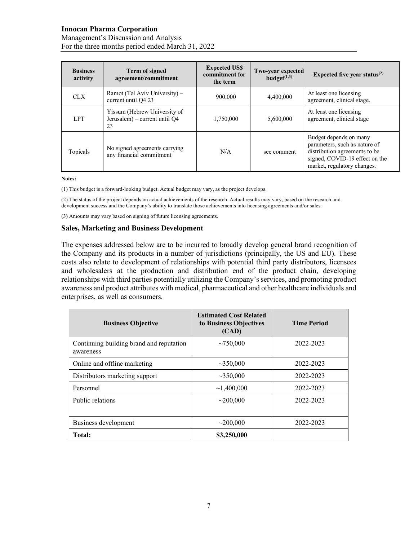### **Innocan Pharma Corporation**

Management's Discussion and Analysis For the three months period ended March 31, 2022

| <b>Business</b><br>activity | <b>Term of signed</b><br>agreement/commitment                       | <b>Expected US\$</b><br>commitment for<br>the term | <b>Two-year expected</b><br>budget $(1,3)$ | Expected five year status $^{(2)}$                                                                                                                        |
|-----------------------------|---------------------------------------------------------------------|----------------------------------------------------|--------------------------------------------|-----------------------------------------------------------------------------------------------------------------------------------------------------------|
| <b>CLX</b>                  | Ramot (Tel Aviv University) –<br>current until Q4 23                | 900,000                                            | 4,400,000                                  | At least one licensing<br>agreement, clinical stage.                                                                                                      |
| <b>LPT</b>                  | Yissum (Hebrew University of<br>Jerusalem) – current until Q4<br>23 | 1,750,000                                          | 5,600,000                                  | At least one licensing<br>agreement, clinical stage                                                                                                       |
| Topicals                    | No signed agreements carrying<br>any financial commitment           | N/A                                                | see comment                                | Budget depends on many<br>parameters, such as nature of<br>distribution agreements to be<br>signed, COVID-19 effect on the<br>market, regulatory changes. |

**Notes:**

(1) This budget is a forward-looking budget. Actual budget may vary, as the project develops.

(2) The status of the project depends on actual achievements of the research. Actual results may vary, based on the research and development success and the Company's ability to translate those achievements into licensing agreements and/or sales.

(3) Amounts may vary based on signing of future licensing agreements.

#### **Sales, Marketing and Business Development**

The expenses addressed below are to be incurred to broadly develop general brand recognition of the Company and its products in a number of jurisdictions (principally, the US and EU). These costs also relate to development of relationships with potential third party distributors, licensees and wholesalers at the production and distribution end of the product chain, developing relationships with third parties potentially utilizing the Company's services, and promoting product awareness and product attributes with medical, pharmaceutical and other healthcare individuals and enterprises, as well as consumers.

| <b>Business Objective</b>                             | <b>Estimated Cost Related</b><br>to Business Objectives<br>(CAD) | <b>Time Period</b> |
|-------------------------------------------------------|------------------------------------------------------------------|--------------------|
| Continuing building brand and reputation<br>awareness | ~10000                                                           | 2022-2023          |
| Online and offline marketing                          | $\sim$ 350,000                                                   | 2022-2023          |
| Distributors marketing support                        | ~10000                                                           | 2022-2023          |
| Personnel                                             | ~1,400,000                                                       | 2022-2023          |
| Public relations                                      | $\sim$ 200.000                                                   | 2022-2023          |
| Business development                                  | $\sim$ 200,000                                                   | 2022-2023          |
| Total:                                                | \$3,250,000                                                      |                    |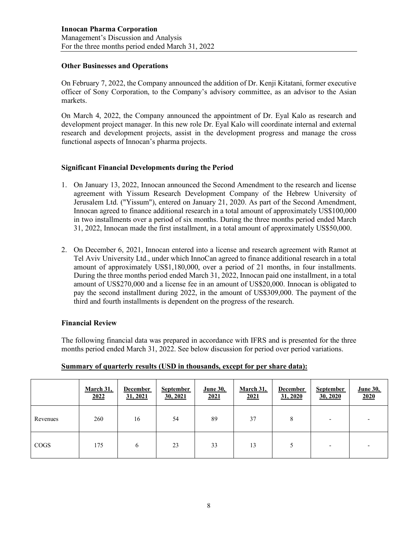### **Other Businesses and Operations**

On February 7, 2022, the Company announced the addition of Dr. Kenji Kitatani, former executive officer of Sony Corporation, to the Company's advisory committee, as an advisor to the Asian markets.

On March 4, 2022, the Company announced the appointment of Dr. Eyal Kalo as research and development project manager. In this new role Dr. Eyal Kalo will coordinate internal and external research and development projects, assist in the development progress and manage the cross functional aspects of Innocan's pharma projects.

## **Significant Financial Developments during the Period**

- 1. On January 13, 2022, Innocan announced the Second Amendment to the research and license agreement with Yissum Research Development Company of the Hebrew University of Jerusalem Ltd. ("Yissum"), entered on January 21, 2020. As part of the Second Amendment, Innocan agreed to finance additional research in a total amount of approximately US\$100,000 in two installments over a period of six months. During the three months period ended March 31, 2022, Innocan made the first installment, in a total amount of approximately US\$50,000.
- 2. On December 6, 2021, Innocan entered into a license and research agreement with Ramot at Tel Aviv University Ltd., under which InnoCan agreed to finance additional research in a total amount of approximately US\$1,180,000, over a period of 21 months, in four installments. During the three months period ended March 31, 2022, Innocan paid one installment, in a total amount of US\$270,000 and a license fee in an amount of US\$20,000. Innocan is obligated to pay the second installment during 2022, in the amount of US\$309,000. The payment of the third and fourth installments is dependent on the progress of the research.

## **Financial Review**

The following financial data was prepared in accordance with IFRS and is presented for the three months period ended March 31, 2022. See below discussion for period over period variations.

|             | <b>March 31,</b><br>2022 | <b>December</b><br>31, 2021 | <b>September</b><br>30, 2021 | <b>June 30,</b><br>2021 | March 31,<br>2021 | <b>December</b><br>31, 2020 | September<br>30, 2020 | <b>June 30,</b><br>2020 |
|-------------|--------------------------|-----------------------------|------------------------------|-------------------------|-------------------|-----------------------------|-----------------------|-------------------------|
| Revenues    | 260                      | 16                          | 54                           | 89                      | 37                | 8                           |                       |                         |
| <b>COGS</b> | 175                      | 6                           | 23                           | 33                      | 13                |                             |                       |                         |

## **Summary of quarterly results (USD in thousands, except for per share data):**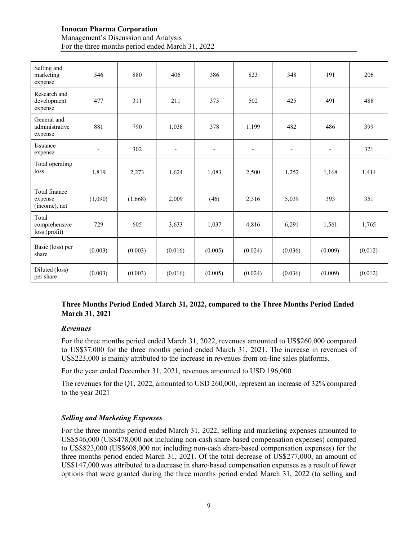## **Innocan Pharma Corporation** Management's Discussion and Analysis For the three months period ended March 31, 2022

| Selling and<br>marketing<br>expense       | 546                      | 880     | 406                      | 386                      | 823                      | 348                      | 191                      | 206     |
|-------------------------------------------|--------------------------|---------|--------------------------|--------------------------|--------------------------|--------------------------|--------------------------|---------|
| Research and<br>development<br>expense    | 477                      | 311     | 211                      | 375                      | 502                      | 425                      | 491                      | 488     |
| General and<br>administrative<br>expense  | 881                      | 790     | 1.038                    | 378                      | 1,199                    | 482                      | 486                      | 399     |
| Issuance<br>expense                       | $\overline{\phantom{a}}$ | 302     | $\overline{\phantom{a}}$ | $\overline{\phantom{a}}$ | $\overline{\phantom{a}}$ | $\overline{\phantom{a}}$ | $\overline{\phantom{a}}$ | 321     |
| Total operating<br>loss                   | 1,819                    | 2,273   | 1,624                    | 1,083                    | 2,500                    | 1,252                    | 1,168                    | 1,414   |
| Total finance<br>expense<br>(income), net | (1,090)                  | (1,668) | 2,009                    | (46)                     | 2,316                    | 5,039                    | 393                      | 351     |
| Total<br>comprehensive<br>loss (profit)   | 729                      | 605     | 3,633                    | 1,037                    | 4,816                    | 6,291                    | 1,561                    | 1,765   |
| Basic (loss) per<br>share                 | (0.003)                  | (0.003) | (0.016)                  | (0.005)                  | (0.024)                  | (0.036)                  | (0.009)                  | (0.012) |
| Diluted (loss)<br>per share               | (0.003)                  | (0.003) | (0.016)                  | (0.005)                  | (0.024)                  | (0.036)                  | (0.009)                  | (0.012) |

# **Three Months Period Ended March 31, 2022, compared to the Three Months Period Ended March 31, 2021**

#### *Revenues*

For the three months period ended March 31, 2022, revenues amounted to US\$260,000 compared to US\$37,000 for the three months period ended March 31, 2021. The increase in revenues of US\$223,000 is mainly attributed to the increase in revenues from on-line sales platforms.

For the year ended December 31, 2021, revenues amounted to USD 196,000.

The revenues for the Q1, 2022, amounted to USD 260,000, represent an increase of 32% compared to the year 2021

#### *Selling and Marketing Expenses*

For the three months period ended March 31, 2022, selling and marketing expenses amounted to US\$546,000 (US\$478,000 not including non-cash share-based compensation expenses) compared to US\$823,000 (US\$608,000 not including non-cash share-based compensation expenses) for the three months period ended March 31, 2021. Of the total decrease of US\$277,000, an amount of US\$147,000 was attributed to a decrease in share-based compensation expenses as a result of fewer options that were granted during the three months period ended March 31, 2022 (to selling and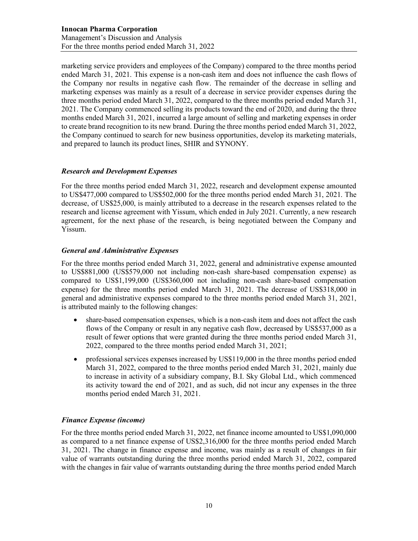marketing service providers and employees of the Company) compared to the three months period ended March 31, 2021. This expense is a non-cash item and does not influence the cash flows of the Company nor results in negative cash flow. The remainder of the decrease in selling and marketing expenses was mainly as a result of a decrease in service provider expenses during the three months period ended March 31, 2022, compared to the three months period ended March 31, 2021. The Company commenced selling its products toward the end of 2020, and during the three months ended March 31, 2021, incurred a large amount of selling and marketing expenses in order to create brand recognition to its new brand. During the three months period ended March 31, 2022, the Company continued to search for new business opportunities, develop its marketing materials, and prepared to launch its product lines, SHIR and SYNONY.

## *Research and Development Expenses*

For the three months period ended March 31, 2022, research and development expense amounted to US\$477,000 compared to US\$502,000 for the three months period ended March 31, 2021. The decrease, of US\$25,000, is mainly attributed to a decrease in the research expenses related to the research and license agreement with Yissum, which ended in July 2021. Currently, a new research agreement, for the next phase of the research, is being negotiated between the Company and Yissum.

## *General and Administrative Expenses*

For the three months period ended March 31, 2022, general and administrative expense amounted to US\$881,000 (US\$579,000 not including non-cash share-based compensation expense) as compared to US\$1,199,000 (US\$360,000 not including non-cash share-based compensation expense) for the three months period ended March 31, 2021. The decrease of US\$318,000 in general and administrative expenses compared to the three months period ended March 31, 2021, is attributed mainly to the following changes:

- share-based compensation expenses, which is a non-cash item and does not affect the cash flows of the Company or result in any negative cash flow, decreased by US\$537,000 as a result of fewer options that were granted during the three months period ended March 31, 2022, compared to the three months period ended March 31, 2021;
- professional services expenses increased by US\$119,000 in the three months period ended March 31, 2022, compared to the three months period ended March 31, 2021, mainly due to increase in activity of a subsidiary company, B.I. Sky Global Ltd., which commenced its activity toward the end of 2021, and as such, did not incur any expenses in the three months period ended March 31, 2021.

## *Finance Expense (income)*

For the three months period ended March 31, 2022, net finance income amounted to US\$1,090,000 as compared to a net finance expense of US\$2,316,000 for the three months period ended March 31, 2021. The change in finance expense and income, was mainly as a result of changes in fair value of warrants outstanding during the three months period ended March 31, 2022, compared with the changes in fair value of warrants outstanding during the three months period ended March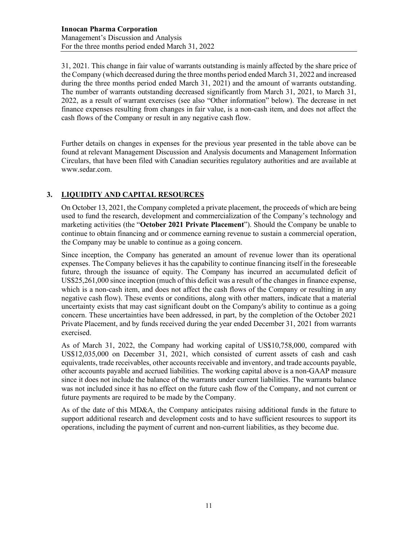31, 2021. This change in fair value of warrants outstanding is mainly affected by the share price of the Company (which decreased during the three months period ended March 31, 2022 and increased during the three months period ended March 31, 2021) and the amount of warrants outstanding. The number of warrants outstanding decreased significantly from March 31, 2021, to March 31, 2022, as a result of warrant exercises (see also "Other information" below). The decrease in net finance expenses resulting from changes in fair value, is a non-cash item, and does not affect the cash flows of the Company or result in any negative cash flow.

Further details on changes in expenses for the previous year presented in the table above can be found at relevant Management Discussion and Analysis documents and Management Information Circulars, that have been filed with Canadian securities regulatory authorities and are available at www.sedar.com.

# **3. LIQUIDITY AND CAPITAL RESOURCES**

On October 13, 2021, the Company completed a private placement, the proceeds of which are being used to fund the research, development and commercialization of the Company's technology and marketing activities (the "**October 2021 Private Placement**"). Should the Company be unable to continue to obtain financing and or commence earning revenue to sustain a commercial operation, the Company may be unable to continue as a going concern.

Since inception, the Company has generated an amount of revenue lower than its operational expenses. The Company believes it has the capability to continue financing itself in the foreseeable future, through the issuance of equity. The Company has incurred an accumulated deficit of US\$25,261,000 since inception (much of this deficit was a result of the changes in finance expense, which is a non-cash item, and does not affect the cash flows of the Company or resulting in any negative cash flow). These events or conditions, along with other matters, indicate that a material uncertainty exists that may cast significant doubt on the Company's ability to continue as a going concern. These uncertainties have been addressed, in part, by the completion of the October 2021 Private Placement, and by funds received during the year ended December 31, 2021 from warrants exercised.

As of March 31, 2022, the Company had working capital of US\$10,758,000, compared with US\$12,035,000 on December 31, 2021, which consisted of current assets of cash and cash equivalents, trade receivables, other accounts receivable and inventory, and trade accounts payable, other accounts payable and accrued liabilities. The working capital above is a non-GAAP measure since it does not include the balance of the warrants under current liabilities. The warrants balance was not included since it has no effect on the future cash flow of the Company, and not current or future payments are required to be made by the Company.

As of the date of this MD&A, the Company anticipates raising additional funds in the future to support additional research and development costs and to have sufficient resources to support its operations, including the payment of current and non-current liabilities, as they become due.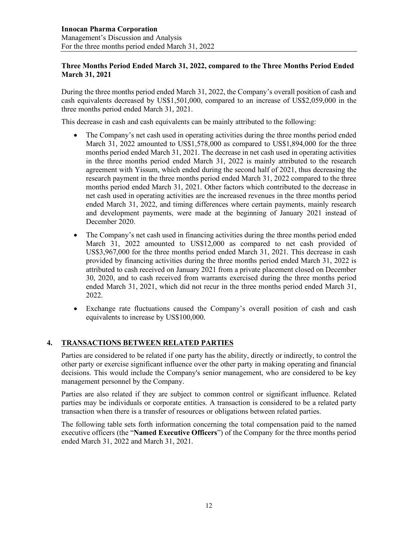### **Three Months Period Ended March 31, 2022, compared to the Three Months Period Ended March 31, 2021**

During the three months period ended March 31, 2022, the Company's overall position of cash and cash equivalents decreased by US\$1,501,000, compared to an increase of US\$2,059,000 in the three months period ended March 31, 2021.

This decrease in cash and cash equivalents can be mainly attributed to the following:

- The Company's net cash used in operating activities during the three months period ended March 31, 2022 amounted to US\$1,578,000 as compared to US\$1,894,000 for the three months period ended March 31, 2021. The decrease in net cash used in operating activities in the three months period ended March 31, 2022 is mainly attributed to the research agreement with Yissum, which ended during the second half of 2021, thus decreasing the research payment in the three months period ended March 31, 2022 compared to the three months period ended March 31, 2021. Other factors which contributed to the decrease in net cash used in operating activities are the increased revenues in the three months period ended March 31, 2022, and timing differences where certain payments, mainly research and development payments, were made at the beginning of January 2021 instead of December 2020.
- The Company's net cash used in financing activities during the three months period ended March 31, 2022 amounted to US\$12,000 as compared to net cash provided of US\$3,967,000 for the three months period ended March 31, 2021. This decrease in cash provided by financing activities during the three months period ended March 31, 2022 is attributed to cash received on January 2021 from a private placement closed on December 30, 2020, and to cash received from warrants exercised during the three months period ended March 31, 2021, which did not recur in the three months period ended March 31, 2022.
- Exchange rate fluctuations caused the Company's overall position of cash and cash equivalents to increase by US\$100,000.

## **4. TRANSACTIONS BETWEEN RELATED PARTIES**

Parties are considered to be related if one party has the ability, directly or indirectly, to control the other party or exercise significant influence over the other party in making operating and financial decisions. This would include the Company's senior management, who are considered to be key management personnel by the Company.

Parties are also related if they are subject to common control or significant influence. Related parties may be individuals or corporate entities. A transaction is considered to be a related party transaction when there is a transfer of resources or obligations between related parties.

The following table sets forth information concerning the total compensation paid to the named executive officers (the "**Named Executive Officers**") of the Company for the three months period ended March 31, 2022 and March 31, 2021.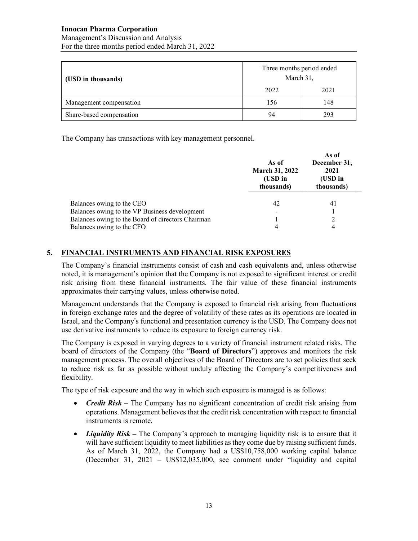#### **Innocan Pharma Corporation** Management's Discussion and Analysis For the three months period ended March 31, 2022

| (USD in thousands)       | Three months period ended<br>March 31, |      |  |
|--------------------------|----------------------------------------|------|--|
|                          | 2022                                   | 2021 |  |
| Management compensation  | 156                                    | 148  |  |
| Share-based compensation | 94                                     | 293  |  |

The Company has transactions with key management personnel.

|                                                                                                                                                              | As of<br>March 31, 2022<br>(USD in<br>thousands) | As of<br>December 31,<br>2021<br>(USD in<br>thousands) |
|--------------------------------------------------------------------------------------------------------------------------------------------------------------|--------------------------------------------------|--------------------------------------------------------|
| Balances owing to the CEO<br>Balances owing to the VP Business development<br>Balances owing to the Board of directors Chairman<br>Balances owing to the CFO | 42<br>4                                          | 41<br>າ<br>4                                           |

## **5. FINANCIAL INSTRUMENTS AND FINANCIAL RISK EXPOSURES**

The Company's financial instruments consist of cash and cash equivalents and, unless otherwise noted, it is management's opinion that the Company is not exposed to significant interest or credit risk arising from these financial instruments. The fair value of these financial instruments approximates their carrying values, unless otherwise noted.

Management understands that the Company is exposed to financial risk arising from fluctuations in foreign exchange rates and the degree of volatility of these rates as its operations are located in Israel, and the Company's functional and presentation currency is the USD. The Company does not use derivative instruments to reduce its exposure to foreign currency risk.

The Company is exposed in varying degrees to a variety of financial instrument related risks. The board of directors of the Company (the "**Board of Directors**") approves and monitors the risk management process. The overall objectives of the Board of Directors are to set policies that seek to reduce risk as far as possible without unduly affecting the Company's competitiveness and flexibility.

The type of risk exposure and the way in which such exposure is managed is as follows:

- *Credit Risk* The Company has no significant concentration of credit risk arising from operations. Management believes that the credit risk concentration with respect to financial instruments is remote.
- *Liquidity Risk* The Company's approach to managing liquidity risk is to ensure that it will have sufficient liquidity to meet liabilities as they come due by raising sufficient funds. As of March 31, 2022, the Company had a US\$10,758,000 working capital balance (December 31,  $2021 - US$12,035,000$ , see comment under "liquidity and capital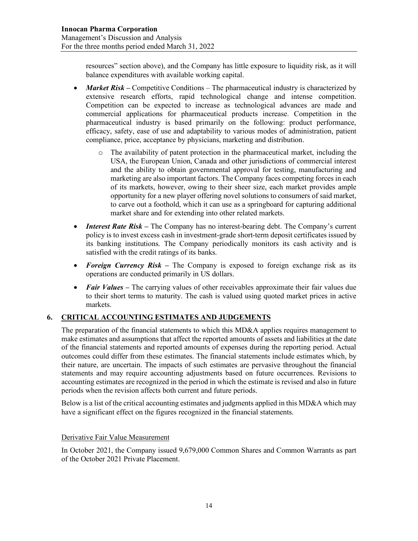resources" section above), and the Company has little exposure to liquidity risk, as it will balance expenditures with available working capital.

- *Market Risk* Competitive Conditions The pharmaceutical industry is characterized by extensive research efforts, rapid technological change and intense competition. Competition can be expected to increase as technological advances are made and commercial applications for pharmaceutical products increase. Competition in the pharmaceutical industry is based primarily on the following: product performance, efficacy, safety, ease of use and adaptability to various modes of administration, patient compliance, price, acceptance by physicians, marketing and distribution.
	- o The availability of patent protection in the pharmaceutical market, including the USA, the European Union, Canada and other jurisdictions of commercial interest and the ability to obtain governmental approval for testing, manufacturing and marketing are also important factors. The Company faces competing forces in each of its markets, however, owing to their sheer size, each market provides ample opportunity for a new player offering novel solutions to consumers of said market, to carve out a foothold, which it can use as a springboard for capturing additional market share and for extending into other related markets.
- *Interest Rate Risk* The Company has no interest-bearing debt. The Company's current policy is to invest excess cash in investment-grade short-term deposit certificates issued by its banking institutions. The Company periodically monitors its cash activity and is satisfied with the credit ratings of its banks.
- *Foreign Currency Risk* The Company is exposed to foreign exchange risk as its operations are conducted primarily in US dollars.
- *Fair Values* The carrying values of other receivables approximate their fair values due to their short terms to maturity. The cash is valued using quoted market prices in active markets.

# **6. CRITICAL ACCOUNTING ESTIMATES AND JUDGEMENTS**

The preparation of the financial statements to which this MD&A applies requires management to make estimates and assumptions that affect the reported amounts of assets and liabilities at the date of the financial statements and reported amounts of expenses during the reporting period. Actual outcomes could differ from these estimates. The financial statements include estimates which, by their nature, are uncertain. The impacts of such estimates are pervasive throughout the financial statements and may require accounting adjustments based on future occurrences. Revisions to accounting estimates are recognized in the period in which the estimate is revised and also in future periods when the revision affects both current and future periods.

Below is a list of the critical accounting estimates and judgments applied in this MD&A which may have a significant effect on the figures recognized in the financial statements.

## Derivative Fair Value Measurement

In October 2021, the Company issued 9,679,000 Common Shares and Common Warrants as part of the October 2021 Private Placement.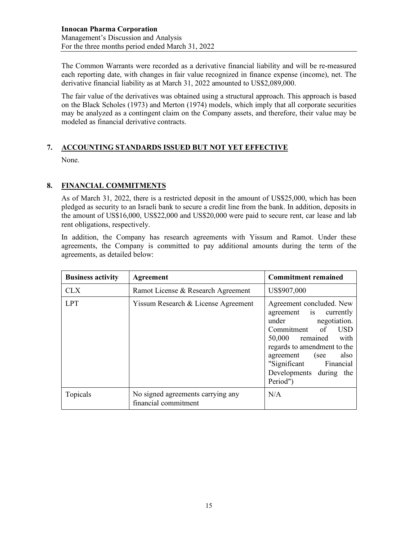The Common Warrants were recorded as a derivative financial liability and will be re-measured each reporting date, with changes in fair value recognized in finance expense (income), net. The derivative financial liability as at March 31, 2022 amounted to US\$2,089,000.

The fair value of the derivatives was obtained using a structural approach. This approach is based on the Black Scholes (1973) and Merton (1974) models, which imply that all corporate securities may be analyzed as a contingent claim on the Company assets, and therefore, their value may be modeled as financial derivative contracts.

## **7. ACCOUNTING STANDARDS ISSUED BUT NOT YET EFFECTIVE**

None.

## **8. FINANCIAL COMMITMENTS**

As of March 31, 2022, there is a restricted deposit in the amount of US\$25,000, which has been pledged as security to an Israeli bank to secure a credit line from the bank. In addition, deposits in the amount of US\$16,000, US\$22,000 and US\$20,000 were paid to secure rent, car lease and lab rent obligations, respectively.

In addition, the Company has research agreements with Yissum and Ramot. Under these agreements, the Company is committed to pay additional amounts during the term of the agreements, as detailed below:

| <b>Business activity</b> | <b>Agreement</b>                                          | <b>Commitment remained</b>                                                                                                                                                                                                                   |
|--------------------------|-----------------------------------------------------------|----------------------------------------------------------------------------------------------------------------------------------------------------------------------------------------------------------------------------------------------|
| CLX                      | Ramot License & Research Agreement                        | US\$907,000                                                                                                                                                                                                                                  |
| <b>LPT</b>               | Yissum Research & License Agreement                       | Agreement concluded. New<br>agreement is currently<br>under negotiation.<br>Commitment of USD<br>50,000 remained with<br>regards to amendment to the<br>agreement (see also<br>"Significant Financial<br>Developments during the<br>Period") |
| Topicals                 | No signed agreements carrying any<br>financial commitment | N/A                                                                                                                                                                                                                                          |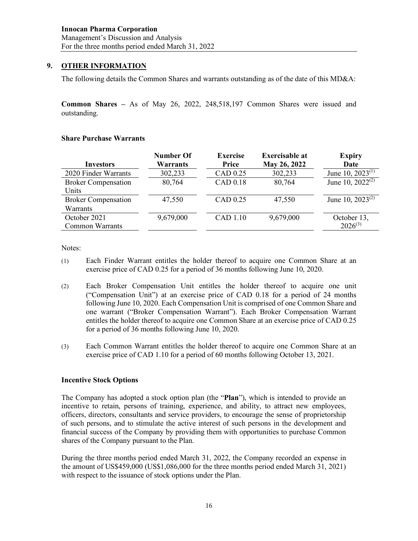### **9. OTHER INFORMATION**

The following details the Common Shares and warrants outstanding as of the date of this MD&A:

**Common Shares –** As of May 26, 2022, 248,518,197 Common Shares were issued and outstanding.

#### **Share Purchase Warrants**

| <b>Investors</b>           | Number Of<br><b>Warrants</b> | <b>Exercise</b><br>Price | <b>Exercisable at</b><br>May 26, 2022 | <b>Expiry</b><br>Date          |
|----------------------------|------------------------------|--------------------------|---------------------------------------|--------------------------------|
| 2020 Finder Warrants       | 302,233                      | CAD 0.25                 | 302,233                               | June 10, $2023^{(1)}$          |
| <b>Broker Compensation</b> | 80,764                       | CAD 0.18                 | 80,764                                | June 10, $2022^{\overline{2}}$ |
| Units                      |                              |                          |                                       |                                |
| <b>Broker Compensation</b> | 47,550                       | CAD 0.25                 | 47,550                                | June 10, $2023^{(2)}$          |
| <b>Warrants</b>            |                              |                          |                                       |                                |
| October 2021               | 9,679,000                    | CAD 1.10                 | 9,679,000                             | October 13,                    |
| <b>Common Warrants</b>     |                              |                          |                                       | $2026^{(3)}$                   |

Notes:

- (1) Each Finder Warrant entitles the holder thereof to acquire one Common Share at an exercise price of CAD 0.25 for a period of 36 months following June 10, 2020.
- (2) Each Broker Compensation Unit entitles the holder thereof to acquire one unit ("Compensation Unit") at an exercise price of CAD 0.18 for a period of 24 months following June 10, 2020. Each Compensation Unit is comprised of one Common Share and one warrant ("Broker Compensation Warrant"). Each Broker Compensation Warrant entitles the holder thereof to acquire one Common Share at an exercise price of CAD 0.25 for a period of 36 months following June 10, 2020.
- (3) Each Common Warrant entitles the holder thereof to acquire one Common Share at an exercise price of CAD 1.10 for a period of 60 months following October 13, 2021.

#### **Incentive Stock Options**

The Company has adopted a stock option plan (the "**Plan**"), which is intended to provide an incentive to retain, persons of training, experience, and ability, to attract new employees, officers, directors, consultants and service providers, to encourage the sense of proprietorship of such persons, and to stimulate the active interest of such persons in the development and financial success of the Company by providing them with opportunities to purchase Common shares of the Company pursuant to the Plan.

During the three months period ended March 31, 2022, the Company recorded an expense in the amount of US\$459,000 (US\$1,086,000 for the three months period ended March 31, 2021) with respect to the issuance of stock options under the Plan.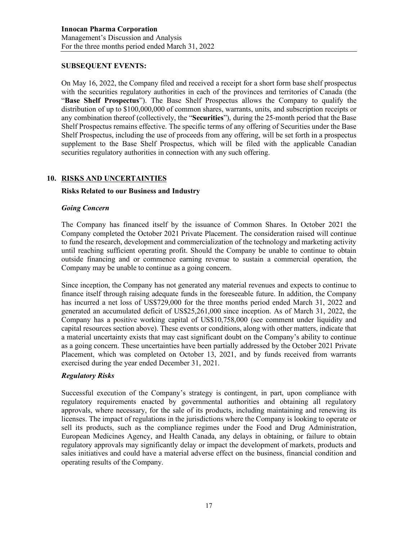#### **SUBSEQUENT EVENTS:**

On May 16, 2022, the Company filed and received a receipt for a short form base shelf prospectus with the securities regulatory authorities in each of the provinces and territories of Canada (the "**Base Shelf Prospectus**"). The Base Shelf Prospectus allows the Company to qualify the distribution of up to \$100,000,000 of common shares, warrants, units, and subscription receipts or any combination thereof (collectively, the "**Securities**"), during the 25-month period that the Base Shelf Prospectus remains effective. The specific terms of any offering of Securities under the Base Shelf Prospectus, including the use of proceeds from any offering, will be set forth in a prospectus supplement to the Base Shelf Prospectus, which will be filed with the applicable Canadian securities regulatory authorities in connection with any such offering.

## **10. RISKS AND UNCERTAINTIES**

#### **Risks Related to our Business and Industry**

#### *Going Concern*

The Company has financed itself by the issuance of Common Shares. In October 2021 the Company completed the October 2021 Private Placement. The consideration raised will continue to fund the research, development and commercialization of the technology and marketing activity until reaching sufficient operating profit. Should the Company be unable to continue to obtain outside financing and or commence earning revenue to sustain a commercial operation, the Company may be unable to continue as a going concern.

Since inception, the Company has not generated any material revenues and expects to continue to finance itself through raising adequate funds in the foreseeable future. In addition, the Company has incurred a net loss of US\$729,000 for the three months period ended March 31, 2022 and generated an accumulated deficit of US\$25,261,000 since inception. As of March 31, 2022, the Company has a positive working capital of US\$10,758,000 (see comment under liquidity and capital resources section above). These events or conditions, along with other matters, indicate that a material uncertainty exists that may cast significant doubt on the Company's ability to continue as a going concern. These uncertainties have been partially addressed by the October 2021 Private Placement, which was completed on October 13, 2021, and by funds received from warrants exercised during the year ended December 31, 2021.

#### *Regulatory Risks*

Successful execution of the Company's strategy is contingent, in part, upon compliance with regulatory requirements enacted by governmental authorities and obtaining all regulatory approvals, where necessary, for the sale of its products, including maintaining and renewing its licenses. The impact of regulations in the jurisdictions where the Company is looking to operate or sell its products, such as the compliance regimes under the Food and Drug Administration, European Medicines Agency, and Health Canada, any delays in obtaining, or failure to obtain regulatory approvals may significantly delay or impact the development of markets, products and sales initiatives and could have a material adverse effect on the business, financial condition and operating results of the Company.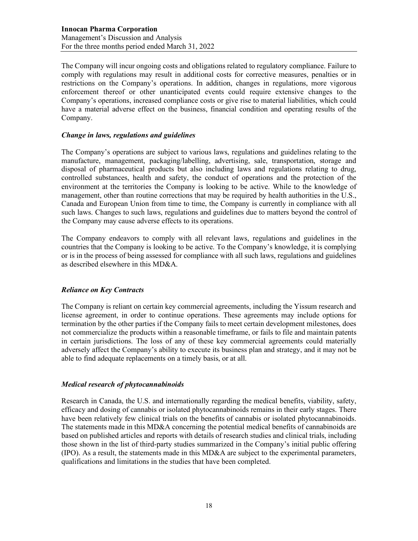The Company will incur ongoing costs and obligations related to regulatory compliance. Failure to comply with regulations may result in additional costs for corrective measures, penalties or in restrictions on the Company's operations. In addition, changes in regulations, more vigorous enforcement thereof or other unanticipated events could require extensive changes to the Company's operations, increased compliance costs or give rise to material liabilities, which could have a material adverse effect on the business, financial condition and operating results of the Company.

### *Change in laws, regulations and guidelines*

The Company's operations are subject to various laws, regulations and guidelines relating to the manufacture, management, packaging/labelling, advertising, sale, transportation, storage and disposal of pharmaceutical products but also including laws and regulations relating to drug, controlled substances, health and safety, the conduct of operations and the protection of the environment at the territories the Company is looking to be active. While to the knowledge of management, other than routine corrections that may be required by health authorities in the U.S., Canada and European Union from time to time, the Company is currently in compliance with all such laws. Changes to such laws, regulations and guidelines due to matters beyond the control of the Company may cause adverse effects to its operations.

The Company endeavors to comply with all relevant laws, regulations and guidelines in the countries that the Company is looking to be active. To the Company's knowledge, it is complying or is in the process of being assessed for compliance with all such laws, regulations and guidelines as described elsewhere in this MD&A.

## *Reliance on Key Contracts*

The Company is reliant on certain key commercial agreements, including the Yissum research and license agreement, in order to continue operations. These agreements may include options for termination by the other parties if the Company fails to meet certain development milestones, does not commercialize the products within a reasonable timeframe, or fails to file and maintain patents in certain jurisdictions. The loss of any of these key commercial agreements could materially adversely affect the Company's ability to execute its business plan and strategy, and it may not be able to find adequate replacements on a timely basis, or at all.

#### *Medical research of phytocannabinoids*

Research in Canada, the U.S. and internationally regarding the medical benefits, viability, safety, efficacy and dosing of cannabis or isolated phytocannabinoids remains in their early stages. There have been relatively few clinical trials on the benefits of cannabis or isolated phytocannabinoids. The statements made in this MD&A concerning the potential medical benefits of cannabinoids are based on published articles and reports with details of research studies and clinical trials, including those shown in the list of third-party studies summarized in the Company's initial public offering (IPO). As a result, the statements made in this MD&A are subject to the experimental parameters, qualifications and limitations in the studies that have been completed.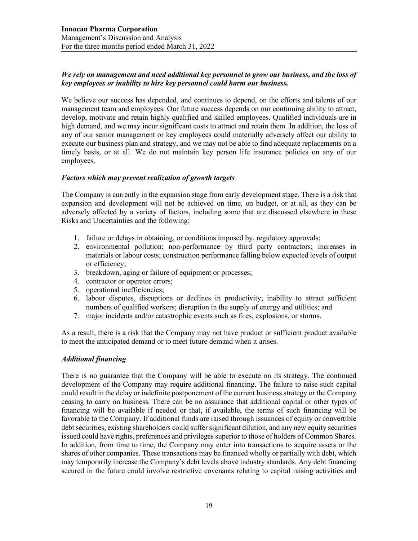## *We rely on management and need additional key personnel to grow our business, and the loss of key employees or inability to hire key personnel could harm our business.*

We believe our success has depended, and continues to depend, on the efforts and talents of our management team and employees. Our future success depends on our continuing ability to attract, develop, motivate and retain highly qualified and skilled employees. Qualified individuals are in high demand, and we may incur significant costs to attract and retain them. In addition, the loss of any of our senior management or key employees could materially adversely affect our ability to execute our business plan and strategy, and we may not be able to find adequate replacements on a timely basis, or at all. We do not maintain key person life insurance policies on any of our employees.

#### *Factors which may prevent realization of growth targets*

The Company is currently in the expansion stage from early development stage. There is a risk that expansion and development will not be achieved on time, on budget, or at all, as they can be adversely affected by a variety of factors, including some that are discussed elsewhere in these Risks and Uncertainties and the following:

- 1. failure or delays in obtaining, or conditions imposed by, regulatory approvals;
- 2. environmental pollution; non-performance by third party contractors; increases in materials or labour costs; construction performance falling below expected levels of output or efficiency;
- 3. breakdown, aging or failure of equipment or processes;
- 4. contractor or operator errors;
- 5. operational inefficiencies;
- 6. labour disputes, disruptions or declines in productivity; inability to attract sufficient numbers of qualified workers; disruption in the supply of energy and utilities; and
- 7. major incidents and/or catastrophic events such as fires, explosions, or storms.

As a result, there is a risk that the Company may not have product or sufficient product available to meet the anticipated demand or to meet future demand when it arises.

## *Additional financing*

There is no guarantee that the Company will be able to execute on its strategy. The continued development of the Company may require additional financing. The failure to raise such capital could result in the delay or indefinite postponement of the current business strategy or the Company ceasing to carry on business. There can be no assurance that additional capital or other types of financing will be available if needed or that, if available, the terms of such financing will be favorable to the Company. If additional funds are raised through issuances of equity or convertible debt securities, existing shareholders could suffer significant dilution, and any new equity securities issued could have rights, preferences and privileges superior to those of holders of Common Shares. In addition, from time to time, the Company may enter into transactions to acquire assets or the shares of other companies. These transactions may be financed wholly or partially with debt, which may temporarily increase the Company's debt levels above industry standards. Any debt financing secured in the future could involve restrictive covenants relating to capital raising activities and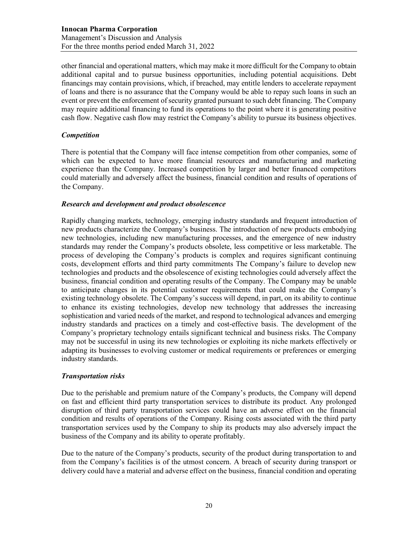other financial and operational matters, which may make it more difficult for the Company to obtain additional capital and to pursue business opportunities, including potential acquisitions. Debt financings may contain provisions, which, if breached, may entitle lenders to accelerate repayment of loans and there is no assurance that the Company would be able to repay such loans in such an event or prevent the enforcement of security granted pursuant to such debt financing. The Company may require additional financing to fund its operations to the point where it is generating positive cash flow. Negative cash flow may restrict the Company's ability to pursue its business objectives.

### *Competition*

There is potential that the Company will face intense competition from other companies, some of which can be expected to have more financial resources and manufacturing and marketing experience than the Company. Increased competition by larger and better financed competitors could materially and adversely affect the business, financial condition and results of operations of the Company.

#### *Research and development and product obsolescence*

Rapidly changing markets, technology, emerging industry standards and frequent introduction of new products characterize the Company's business. The introduction of new products embodying new technologies, including new manufacturing processes, and the emergence of new industry standards may render the Company's products obsolete, less competitive or less marketable. The process of developing the Company's products is complex and requires significant continuing costs, development efforts and third party commitments The Company's failure to develop new technologies and products and the obsolescence of existing technologies could adversely affect the business, financial condition and operating results of the Company. The Company may be unable to anticipate changes in its potential customer requirements that could make the Company's existing technology obsolete. The Company's success will depend, in part, on its ability to continue to enhance its existing technologies, develop new technology that addresses the increasing sophistication and varied needs of the market, and respond to technological advances and emerging industry standards and practices on a timely and cost-effective basis. The development of the Company's proprietary technology entails significant technical and business risks. The Company may not be successful in using its new technologies or exploiting its niche markets effectively or adapting its businesses to evolving customer or medical requirements or preferences or emerging industry standards.

#### *Transportation risks*

Due to the perishable and premium nature of the Company's products, the Company will depend on fast and efficient third party transportation services to distribute its product. Any prolonged disruption of third party transportation services could have an adverse effect on the financial condition and results of operations of the Company. Rising costs associated with the third party transportation services used by the Company to ship its products may also adversely impact the business of the Company and its ability to operate profitably.

Due to the nature of the Company's products, security of the product during transportation to and from the Company's facilities is of the utmost concern. A breach of security during transport or delivery could have a material and adverse effect on the business, financial condition and operating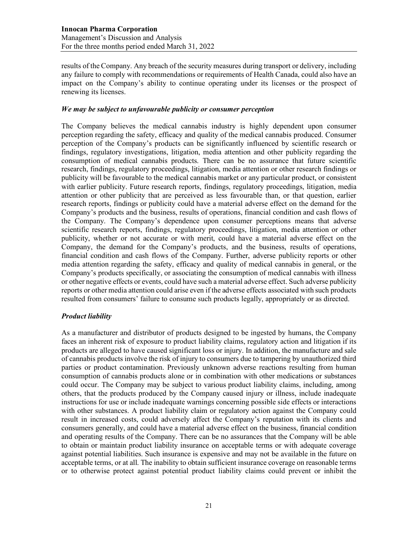results of the Company. Any breach of the security measures during transport or delivery, including any failure to comply with recommendations or requirements of Health Canada, could also have an impact on the Company's ability to continue operating under its licenses or the prospect of renewing its licenses.

#### *We may be subject to unfavourable publicity or consumer perception*

The Company believes the medical cannabis industry is highly dependent upon consumer perception regarding the safety, efficacy and quality of the medical cannabis produced. Consumer perception of the Company's products can be significantly influenced by scientific research or findings, regulatory investigations, litigation, media attention and other publicity regarding the consumption of medical cannabis products. There can be no assurance that future scientific research, findings, regulatory proceedings, litigation, media attention or other research findings or publicity will be favourable to the medical cannabis market or any particular product, or consistent with earlier publicity. Future research reports, findings, regulatory proceedings, litigation, media attention or other publicity that are perceived as less favourable than, or that question, earlier research reports, findings or publicity could have a material adverse effect on the demand for the Company's products and the business, results of operations, financial condition and cash flows of the Company. The Company's dependence upon consumer perceptions means that adverse scientific research reports, findings, regulatory proceedings, litigation, media attention or other publicity, whether or not accurate or with merit, could have a material adverse effect on the Company, the demand for the Company's products, and the business, results of operations, financial condition and cash flows of the Company. Further, adverse publicity reports or other media attention regarding the safety, efficacy and quality of medical cannabis in general, or the Company's products specifically, or associating the consumption of medical cannabis with illness or other negative effects or events, could have such a material adverse effect. Such adverse publicity reports or other media attention could arise even if the adverse effects associated with such products resulted from consumers' failure to consume such products legally, appropriately or as directed.

#### *Product liability*

As a manufacturer and distributor of products designed to be ingested by humans, the Company faces an inherent risk of exposure to product liability claims, regulatory action and litigation if its products are alleged to have caused significant loss or injury. In addition, the manufacture and sale of cannabis products involve the risk of injury to consumers due to tampering by unauthorized third parties or product contamination. Previously unknown adverse reactions resulting from human consumption of cannabis products alone or in combination with other medications or substances could occur. The Company may be subject to various product liability claims, including, among others, that the products produced by the Company caused injury or illness, include inadequate instructions for use or include inadequate warnings concerning possible side effects or interactions with other substances. A product liability claim or regulatory action against the Company could result in increased costs, could adversely affect the Company's reputation with its clients and consumers generally, and could have a material adverse effect on the business, financial condition and operating results of the Company. There can be no assurances that the Company will be able to obtain or maintain product liability insurance on acceptable terms or with adequate coverage against potential liabilities. Such insurance is expensive and may not be available in the future on acceptable terms, or at all. The inability to obtain sufficient insurance coverage on reasonable terms or to otherwise protect against potential product liability claims could prevent or inhibit the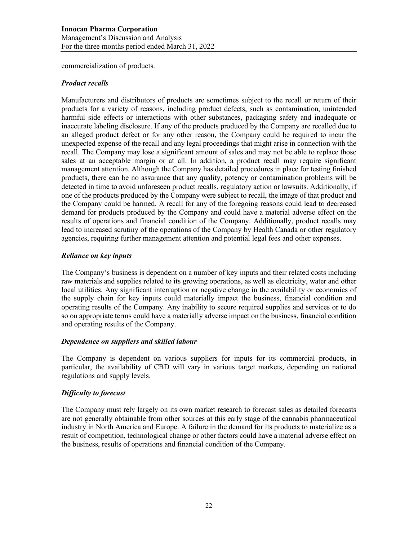commercialization of products.

#### *Product recalls*

Manufacturers and distributors of products are sometimes subject to the recall or return of their products for a variety of reasons, including product defects, such as contamination, unintended harmful side effects or interactions with other substances, packaging safety and inadequate or inaccurate labeling disclosure. If any of the products produced by the Company are recalled due to an alleged product defect or for any other reason, the Company could be required to incur the unexpected expense of the recall and any legal proceedings that might arise in connection with the recall. The Company may lose a significant amount of sales and may not be able to replace those sales at an acceptable margin or at all. In addition, a product recall may require significant management attention. Although the Company has detailed procedures in place for testing finished products, there can be no assurance that any quality, potency or contamination problems will be detected in time to avoid unforeseen product recalls, regulatory action or lawsuits. Additionally, if one of the products produced by the Company were subject to recall, the image of that product and the Company could be harmed. A recall for any of the foregoing reasons could lead to decreased demand for products produced by the Company and could have a material adverse effect on the results of operations and financial condition of the Company. Additionally, product recalls may lead to increased scrutiny of the operations of the Company by Health Canada or other regulatory agencies, requiring further management attention and potential legal fees and other expenses.

#### *Reliance on key inputs*

The Company's business is dependent on a number of key inputs and their related costs including raw materials and supplies related to its growing operations, as well as electricity, water and other local utilities. Any significant interruption or negative change in the availability or economics of the supply chain for key inputs could materially impact the business, financial condition and operating results of the Company. Any inability to secure required supplies and services or to do so on appropriate terms could have a materially adverse impact on the business, financial condition and operating results of the Company.

#### *Dependence on suppliers and skilled labour*

The Company is dependent on various suppliers for inputs for its commercial products, in particular, the availability of CBD will vary in various target markets, depending on national regulations and supply levels.

#### *Difficulty to forecast*

The Company must rely largely on its own market research to forecast sales as detailed forecasts are not generally obtainable from other sources at this early stage of the cannabis pharmaceutical industry in North America and Europe. A failure in the demand for its products to materialize as a result of competition, technological change or other factors could have a material adverse effect on the business, results of operations and financial condition of the Company.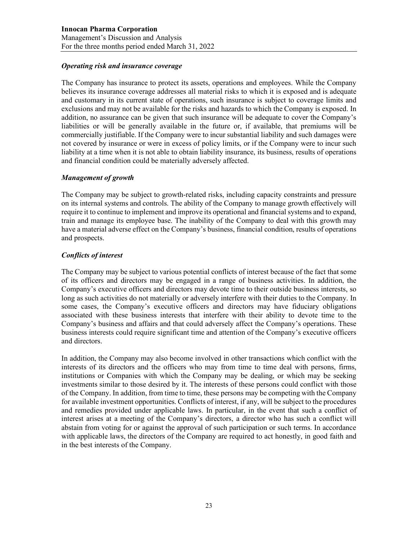## *Operating risk and insurance coverage*

The Company has insurance to protect its assets, operations and employees. While the Company believes its insurance coverage addresses all material risks to which it is exposed and is adequate and customary in its current state of operations, such insurance is subject to coverage limits and exclusions and may not be available for the risks and hazards to which the Company is exposed. In addition, no assurance can be given that such insurance will be adequate to cover the Company's liabilities or will be generally available in the future or, if available, that premiums will be commercially justifiable. If the Company were to incur substantial liability and such damages were not covered by insurance or were in excess of policy limits, or if the Company were to incur such liability at a time when it is not able to obtain liability insurance, its business, results of operations and financial condition could be materially adversely affected.

## *Management of growth*

The Company may be subject to growth-related risks, including capacity constraints and pressure on its internal systems and controls. The ability of the Company to manage growth effectively will require it to continue to implement and improve its operational and financial systems and to expand, train and manage its employee base. The inability of the Company to deal with this growth may have a material adverse effect on the Company's business, financial condition, results of operations and prospects.

## *Conflicts of interest*

The Company may be subject to various potential conflicts of interest because of the fact that some of its officers and directors may be engaged in a range of business activities. In addition, the Company's executive officers and directors may devote time to their outside business interests, so long as such activities do not materially or adversely interfere with their duties to the Company. In some cases, the Company's executive officers and directors may have fiduciary obligations associated with these business interests that interfere with their ability to devote time to the Company's business and affairs and that could adversely affect the Company's operations. These business interests could require significant time and attention of the Company's executive officers and directors.

In addition, the Company may also become involved in other transactions which conflict with the interests of its directors and the officers who may from time to time deal with persons, firms, institutions or Companies with which the Company may be dealing, or which may be seeking investments similar to those desired by it. The interests of these persons could conflict with those of the Company. In addition, from time to time, these persons may be competing with the Company for available investment opportunities. Conflicts of interest, if any, will be subject to the procedures and remedies provided under applicable laws. In particular, in the event that such a conflict of interest arises at a meeting of the Company's directors, a director who has such a conflict will abstain from voting for or against the approval of such participation or such terms. In accordance with applicable laws, the directors of the Company are required to act honestly, in good faith and in the best interests of the Company.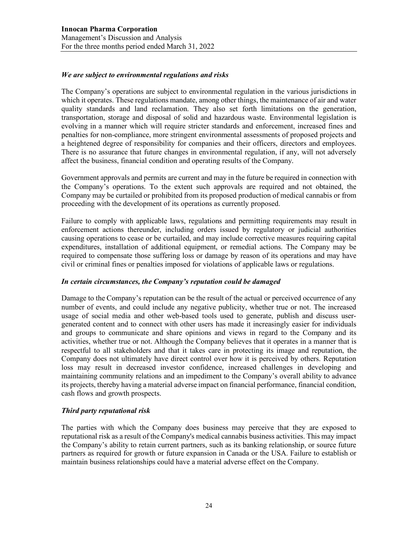### *We are subject to environmental regulations and risks*

The Company's operations are subject to environmental regulation in the various jurisdictions in which it operates. These regulations mandate, among other things, the maintenance of air and water quality standards and land reclamation. They also set forth limitations on the generation, transportation, storage and disposal of solid and hazardous waste. Environmental legislation is evolving in a manner which will require stricter standards and enforcement, increased fines and penalties for non-compliance, more stringent environmental assessments of proposed projects and a heightened degree of responsibility for companies and their officers, directors and employees. There is no assurance that future changes in environmental regulation, if any, will not adversely affect the business, financial condition and operating results of the Company.

Government approvals and permits are current and may in the future be required in connection with the Company's operations. To the extent such approvals are required and not obtained, the Company may be curtailed or prohibited from its proposed production of medical cannabis or from proceeding with the development of its operations as currently proposed.

Failure to comply with applicable laws, regulations and permitting requirements may result in enforcement actions thereunder, including orders issued by regulatory or judicial authorities causing operations to cease or be curtailed, and may include corrective measures requiring capital expenditures, installation of additional equipment, or remedial actions. The Company may be required to compensate those suffering loss or damage by reason of its operations and may have civil or criminal fines or penalties imposed for violations of applicable laws or regulations.

#### *In certain circumstances, the Company's reputation could be damaged*

Damage to the Company's reputation can be the result of the actual or perceived occurrence of any number of events, and could include any negative publicity, whether true or not. The increased usage of social media and other web-based tools used to generate, publish and discuss usergenerated content and to connect with other users has made it increasingly easier for individuals and groups to communicate and share opinions and views in regard to the Company and its activities, whether true or not. Although the Company believes that it operates in a manner that is respectful to all stakeholders and that it takes care in protecting its image and reputation, the Company does not ultimately have direct control over how it is perceived by others. Reputation loss may result in decreased investor confidence, increased challenges in developing and maintaining community relations and an impediment to the Company's overall ability to advance its projects, thereby having a material adverse impact on financial performance, financial condition, cash flows and growth prospects.

#### *Third party reputational risk*

The parties with which the Company does business may perceive that they are exposed to reputational risk as a result of the Company's medical cannabis business activities. This may impact the Company's ability to retain current partners, such as its banking relationship, or source future partners as required for growth or future expansion in Canada or the USA. Failure to establish or maintain business relationships could have a material adverse effect on the Company.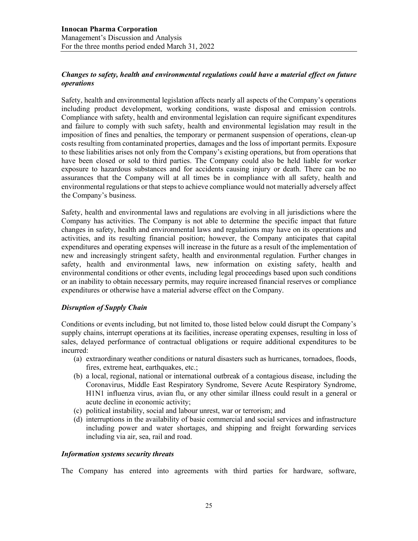## *Changes to safety, health and environmental regulations could have a material effect on future operations*

Safety, health and environmental legislation affects nearly all aspects of the Company's operations including product development, working conditions, waste disposal and emission controls. Compliance with safety, health and environmental legislation can require significant expenditures and failure to comply with such safety, health and environmental legislation may result in the imposition of fines and penalties, the temporary or permanent suspension of operations, clean-up costs resulting from contaminated properties, damages and the loss of important permits. Exposure to these liabilities arises not only from the Company's existing operations, but from operations that have been closed or sold to third parties. The Company could also be held liable for worker exposure to hazardous substances and for accidents causing injury or death. There can be no assurances that the Company will at all times be in compliance with all safety, health and environmental regulations or that steps to achieve compliance would not materially adversely affect the Company's business.

Safety, health and environmental laws and regulations are evolving in all jurisdictions where the Company has activities. The Company is not able to determine the specific impact that future changes in safety, health and environmental laws and regulations may have on its operations and activities, and its resulting financial position; however, the Company anticipates that capital expenditures and operating expenses will increase in the future as a result of the implementation of new and increasingly stringent safety, health and environmental regulation. Further changes in safety, health and environmental laws, new information on existing safety, health and environmental conditions or other events, including legal proceedings based upon such conditions or an inability to obtain necessary permits, may require increased financial reserves or compliance expenditures or otherwise have a material adverse effect on the Company.

#### *Disruption of Supply Chain*

Conditions or events including, but not limited to, those listed below could disrupt the Company's supply chains, interrupt operations at its facilities, increase operating expenses, resulting in loss of sales, delayed performance of contractual obligations or require additional expenditures to be incurred:

- (a) extraordinary weather conditions or natural disasters such as hurricanes, tornadoes, floods, fires, extreme heat, earthquakes, etc.;
- (b) a local, regional, national or international outbreak of a contagious disease, including the Coronavirus, Middle East Respiratory Syndrome, Severe Acute Respiratory Syndrome, H1N1 influenza virus, avian flu, or any other similar illness could result in a general or acute decline in economic activity;
- (c) political instability, social and labour unrest, war or terrorism; and
- (d) interruptions in the availability of basic commercial and social services and infrastructure including power and water shortages, and shipping and freight forwarding services including via air, sea, rail and road.

#### *Information systems security threats*

The Company has entered into agreements with third parties for hardware, software,